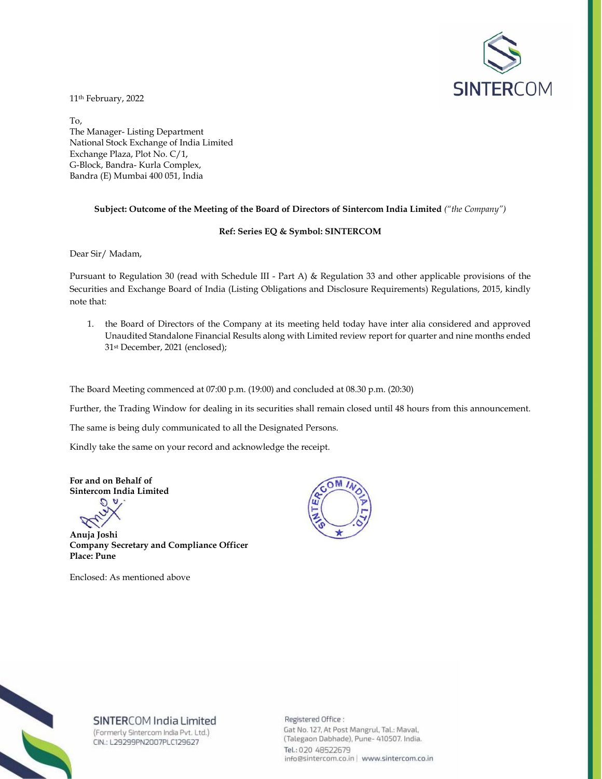

11th February, 2022

To, The Manager- Listing Department National Stock Exchange of India Limited Exchange Plaza, Plot No. C/1, G-Block, Bandra- Kurla Complex, Bandra (E) Mumbai 400 051, India

### **Subject: Outcome of the Meeting of the Board of Directors of Sintercom India Limited** *("the Company")*

#### **Ref: Series EQ & Symbol: SINTERCOM**

Dear Sir/ Madam,

Pursuant to Regulation 30 (read with Schedule III - Part A) & Regulation 33 and other applicable provisions of the Securities and Exchange Board of India (Listing Obligations and Disclosure Requirements) Regulations, 2015, kindly note that:

1. the Board of Directors of the Company at its meeting held today have inter alia considered and approved Unaudited Standalone Financial Results along with Limited review report for quarter and nine months ended 31st December, 2021 (enclosed);

The Board Meeting commenced at 07:00 p.m. (19:00) and concluded at 08.30 p.m. (20:30)

Further, the Trading Window for dealing in its securities shall remain closed until 48 hours from this announcement.

The same is being duly communicated to all the Designated Persons.

Kindly take the same on your record and acknowledge the receipt.

**For and on Behalf of Sintercom India Limited** 

**Anuja Joshi Company Secretary and Compliance Officer Place: Pune** 

Enclosed: As mentioned above





## SINTERCOM India Limited

(Formerly Sintercom India Pvt. Ltd.) CIN.: L29299PN2007PLC129627

Registered Office: Gat No. 127, At Post Mangrul, Tal.: Maval, (Talegaon Dabhade), Pune- 410507. India. Tel.: 020 48522679 info@sintercom.co.in | www.sintercom.co.in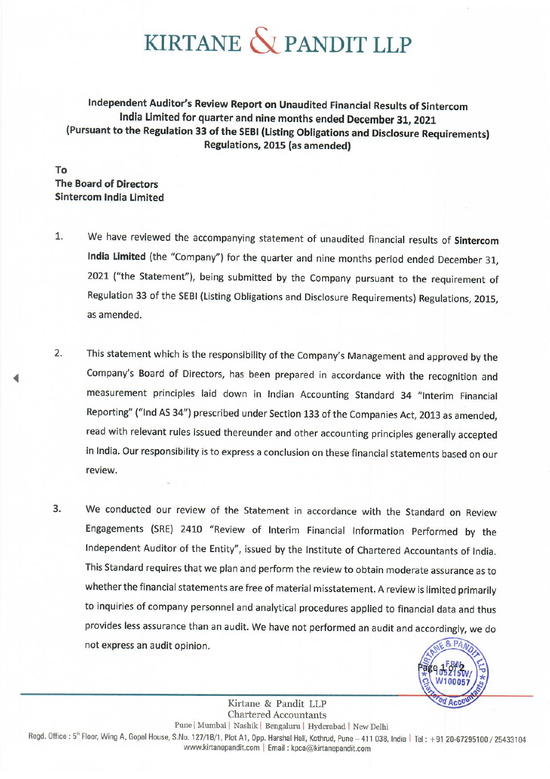# KIRTANE & PANDIT LLP

Independent Auditor's Review Report on Unaudited Financial Results of Sintercom India Limited for quarter and nine months ended December 31, 2021 (Pursuant to the Regulation 33 of the SEBI (Listing Obligations and Disclosure Requirements) Regulations, 2015 (as amended)

**Το The Board of Directors Sintercom India Limited** 

- $1.$ We have reviewed the accompanying statement of unaudited financial results of Sintercom India Limited (the "Company") for the quarter and nine months period ended December 31, 2021 ("the Statement"), being submitted by the Company pursuant to the requirement of Regulation 33 of the SEBI (Listing Obligations and Disclosure Requirements) Regulations, 2015, as amended.
- This statement which is the responsibility of the Company's Management and approved by the  $2.$ Company's Board of Directors, has been prepared in accordance with the recognition and measurement principles laid down in Indian Accounting Standard 34 "Interim Financial Reporting" ("Ind AS 34") prescribed under Section 133 of the Companies Act, 2013 as amended, read with relevant rules issued thereunder and other accounting principles generally accepted in India. Our responsibility is to express a conclusion on these financial statements based on our review.
- 3. We conducted our review of the Statement in accordance with the Standard on Review Engagements (SRE) 2410 "Review of Interim Financial Information Performed by the Independent Auditor of the Entity", issued by the Institute of Chartered Accountants of India. This Standard requires that we plan and perform the review to obtain moderate assurance as to whether the financial statements are free of material misstatement. A review is limited primarily to inquiries of company personnel and analytical procedures applied to financial data and thus provides less assurance than an audit. We have not performed an audit and accordingly, we do not express an audit opinion.



Kirtane & Pandit LLP **Chartered Accountants** Pune | Mumbai | Nashik | Bengaluru | Hyderabad | New Delhi Regd. Office: 5<sup>th</sup> Floor, Wing A, Gopal House, S.No. 127/1B/1, Plot A1, Opp. Harshal Hall, Kothrud, Pune - 411 038, India | Tel: +91 20-67295100 / 25433104 www.kirtanepandit.com | Email : kpca@kirtanepandit.com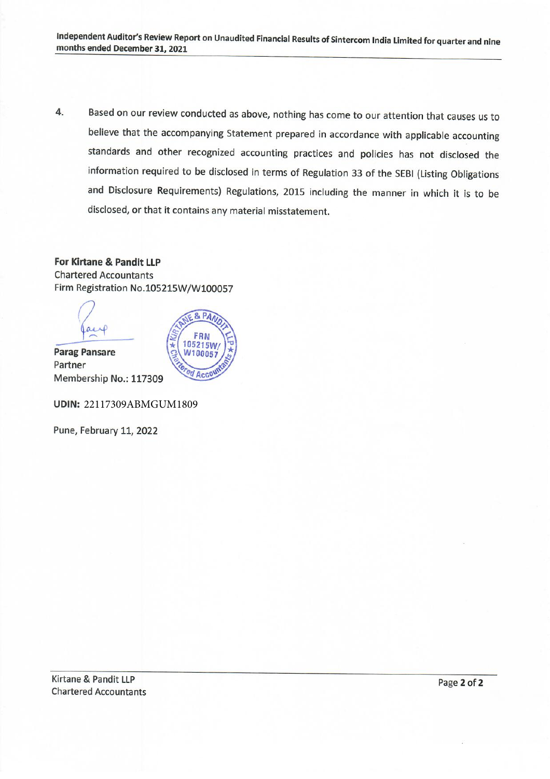Based on our review conducted as above, nothing has come to our attention that causes us to  $4.$ believe that the accompanying Statement prepared in accordance with applicable accounting standards and other recognized accounting practices and policies has not disclosed the information required to be disclosed in terms of Regulation 33 of the SEBI (Listing Obligations and Disclosure Requirements) Regulations, 2015 including the manner in which it is to be disclosed, or that it contains any material misstatement.

**For Kirtane & Pandit LLP Chartered Accountants** Firm Registration No.105215W/W100057

& PAN

FRN 105215W

W100057

Accou

# $\alpha + 1$

**Parag Pansare** Partner Membership No.: 117309

**UDIN: 22117309ABMGUM1809** 

Pune, February 11, 2022

Kirtane & Pandit LLP **Chartered Accountants** 

Page 2 of 2